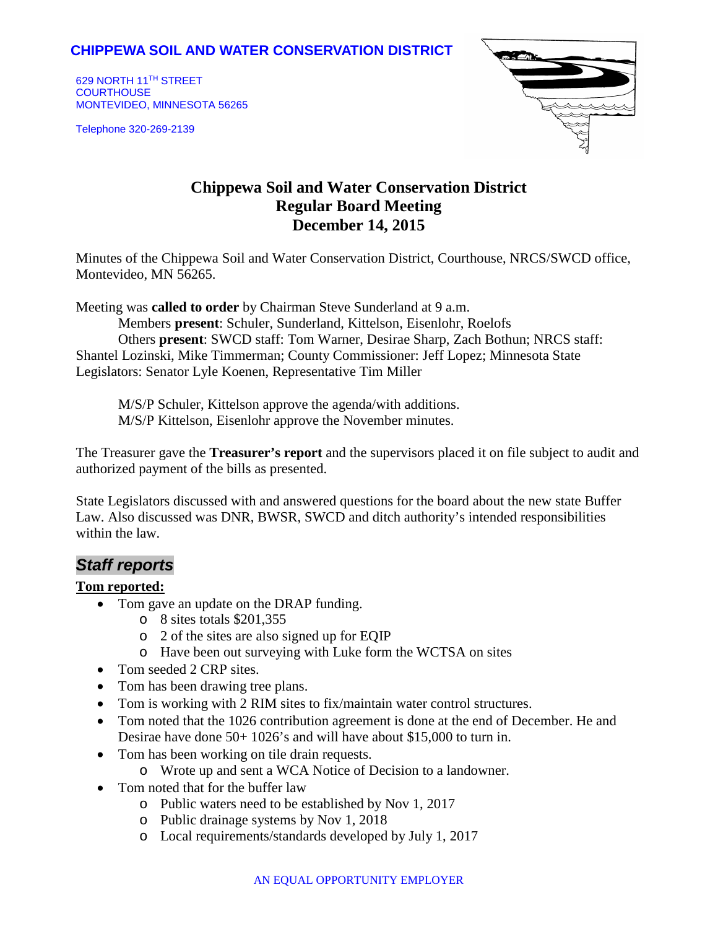## **CHIPPEWA SOIL AND WATER CONSERVATION DISTRICT**

629 NORTH 11TH STREET **COURTHOUSE** MONTEVIDEO, MINNESOTA 56265

Telephone 320-269-2139



# **Chippewa Soil and Water Conservation District Regular Board Meeting December 14, 2015**

Minutes of the Chippewa Soil and Water Conservation District, Courthouse, NRCS/SWCD office, Montevideo, MN 56265.

Meeting was **called to order** by Chairman Steve Sunderland at 9 a.m.

Members **present**: Schuler, Sunderland, Kittelson, Eisenlohr, Roelofs Others **present**: SWCD staff: Tom Warner, Desirae Sharp, Zach Bothun; NRCS staff: Shantel Lozinski, Mike Timmerman; County Commissioner: Jeff Lopez; Minnesota State Legislators: Senator Lyle Koenen, Representative Tim Miller

M/S/P Schuler, Kittelson approve the agenda/with additions. M/S/P Kittelson, Eisenlohr approve the November minutes.

The Treasurer gave the **Treasurer's report** and the supervisors placed it on file subject to audit and authorized payment of the bills as presented.

State Legislators discussed with and answered questions for the board about the new state Buffer Law. Also discussed was DNR, BWSR, SWCD and ditch authority's intended responsibilities within the law.

## *Staff reports*

#### **Tom reported:**

- Tom gave an update on the DRAP funding.
	- o 8 sites totals \$201,355
	- o 2 of the sites are also signed up for EQIP
	- o Have been out surveying with Luke form the WCTSA on sites
- Tom seeded 2 CRP sites.
- Tom has been drawing tree plans.
- Tom is working with 2 RIM sites to fix/maintain water control structures.
- Tom noted that the 1026 contribution agreement is done at the end of December. He and Desirae have done 50+ 1026's and will have about \$15,000 to turn in.
- Tom has been working on tile drain requests.
	- o Wrote up and sent a WCA Notice of Decision to a landowner.
- Tom noted that for the buffer law
	- o Public waters need to be established by Nov 1, 2017
	- o Public drainage systems by Nov 1, 2018
	- o Local requirements/standards developed by July 1, 2017